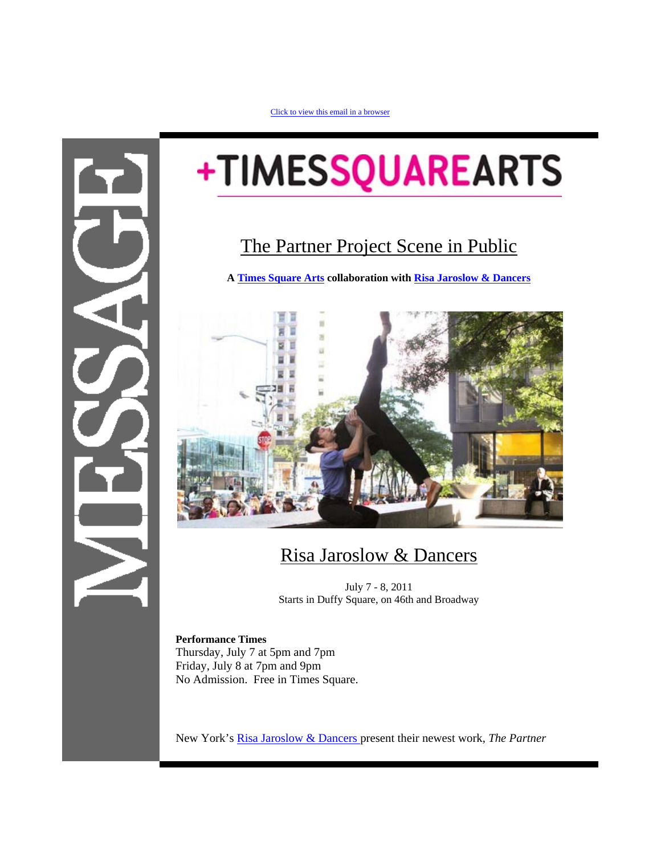

## +TIMESSQUAREARTS

#### The Partner Project Scene in Public

**A Times Square Arts collaboration with Risa Jaroslow & Dancers** 



#### Risa Jaroslow & Dancers

July 7 - 8, 2011 Starts in Duffy Square, on 46th and Broadway

**Performance Times** Thursday, July 7 at 5pm and 7pm Friday, July 8 at 7pm and 9pm No Admission. Free in Times Square.

New York's Risa Jaroslow & Dancers present their newest work, *The Partner*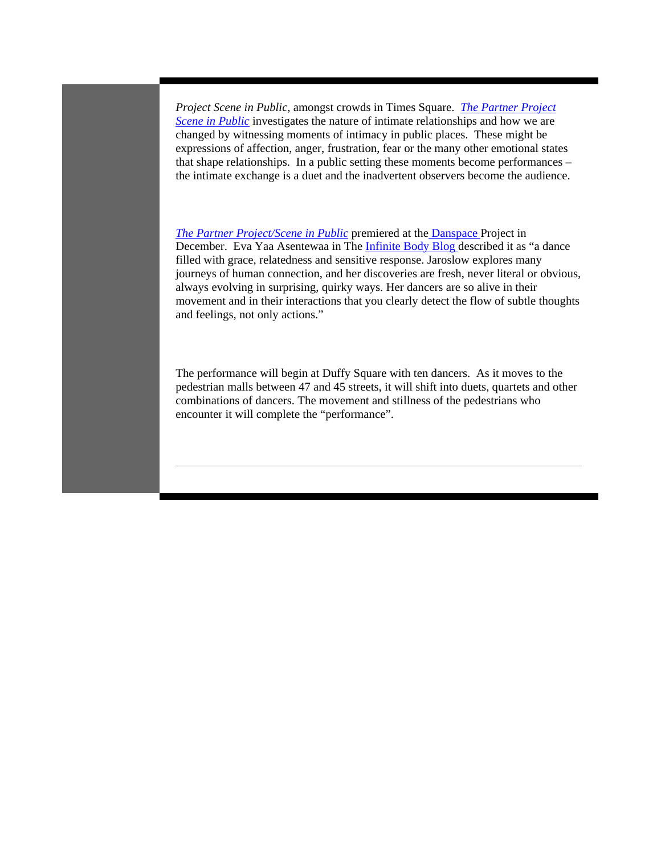*Project Scene in Public*, amongst crowds in Times Square. *The Partner Project Scene in Public* investigates the nature of intimate relationships and how we are changed by witnessing moments of intimacy in public places. These might be expressions of affection, anger, frustration, fear or the many other emotional states that shape relationships. In a public setting these moments become performances – the intimate exchange is a duet and the inadvertent observers become the audience.

*The Partner Project/Scene in Public* premiered at the Danspace Project in December. Eva Yaa Asentewaa in The Infinite Body Blog described it as "a dance filled with grace, relatedness and sensitive response. Jaroslow explores many journeys of human connection, and her discoveries are fresh, never literal or obvious, always evolving in surprising, quirky ways. Her dancers are so alive in their movement and in their interactions that you clearly detect the flow of subtle thoughts and feelings, not only actions."

The performance will begin at Duffy Square with ten dancers. As it moves to the pedestrian malls between 47 and 45 streets, it will shift into duets, quartets and other combinations of dancers. The movement and stillness of the pedestrians who encounter it will complete the "performance".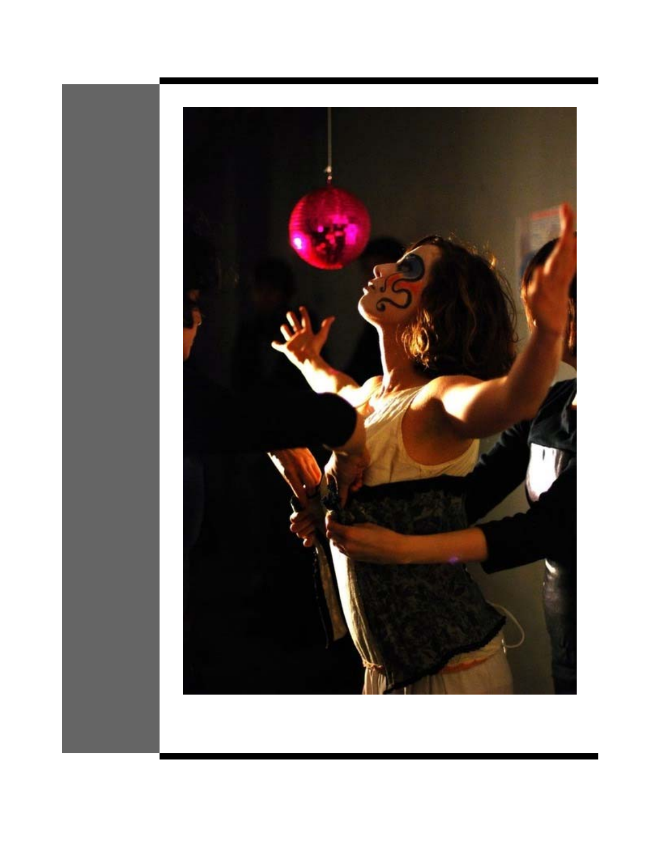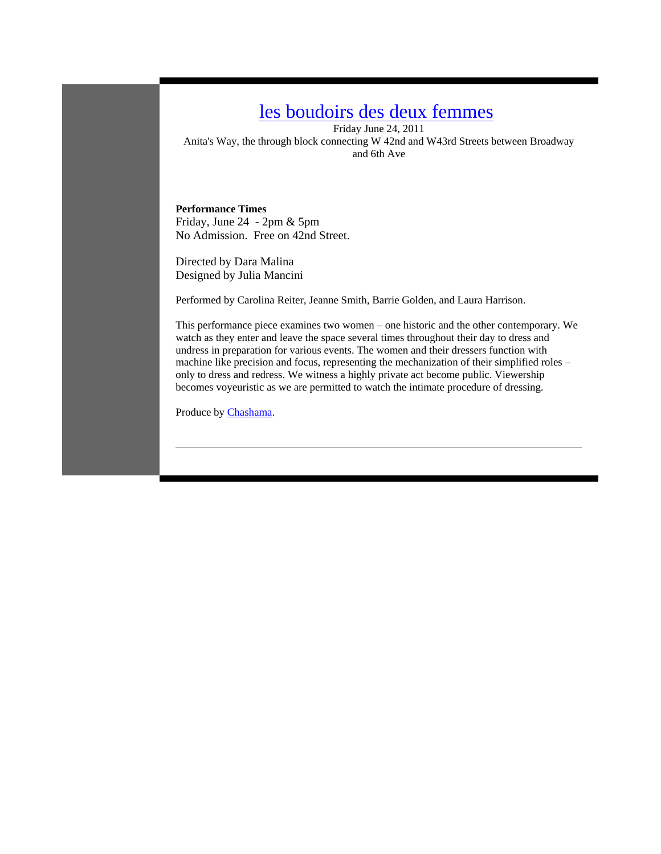### les boudoirs des deux femmes

Anita's Way, the through block connecting W 42nd and W43rd Streets between Broadway and 6th Ave

**Performance Times** Friday, June 24 - 2pm & 5pm No Admission. Free on 42nd Street.

Directed by Dara Malina Designed by Julia Mancini

Performed by Carolina Reiter, Jeanne Smith, Barrie Golden, and Laura Harrison.

This performance piece examines two women – one historic and the other contemporary. We watch as they enter and leave the space several times throughout their day to dress and undress in preparation for various events. The women and their dressers function with machine like precision and focus, representing the mechanization of their simplified roles – only to dress and redress. We witness a highly private act become public. Viewership becomes voyeuristic as we are permitted to watch the intimate procedure of dressing.

Produce by Chashama.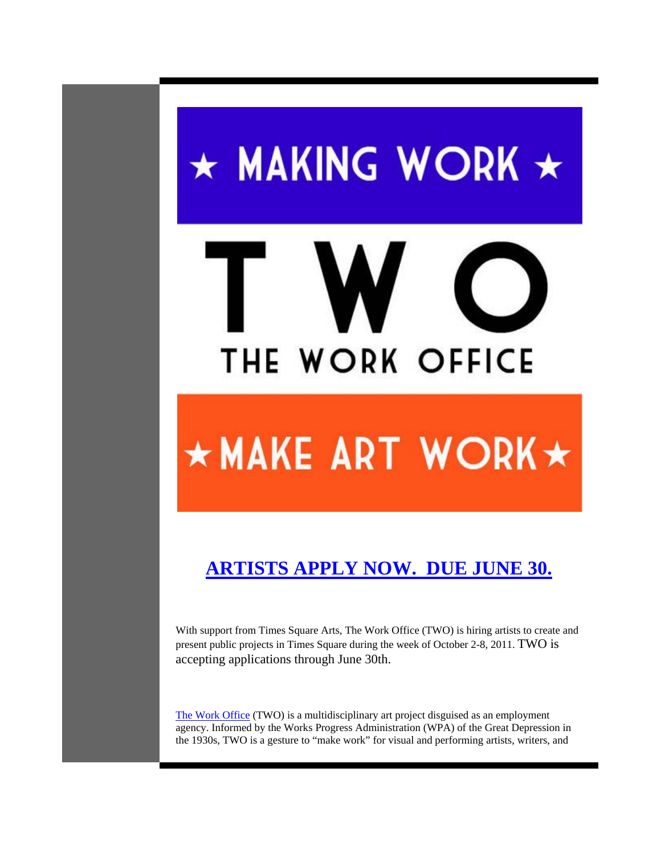## $\star$  MAKING WORK  $\star$

# THE WORK OFFICE

## $\star$  MAKE ART WORK  $\star$

#### **ARTISTS APPLY NOW. DUE JUNE 30.**

With support from Times Square Arts, The Work Office (TWO) is hiring artists to create and present public projects in Times Square during the week of October 2-8, 2011. TWO is accepting applications through June 30th.

The Work Office (TWO) is a multidisciplinary art project disguised as an employment agency. Informed by the Works Progress Administration (WPA) of the Great Depression in the 1930s, TWO is a gesture to "make work" for visual and performing artists, writers, and